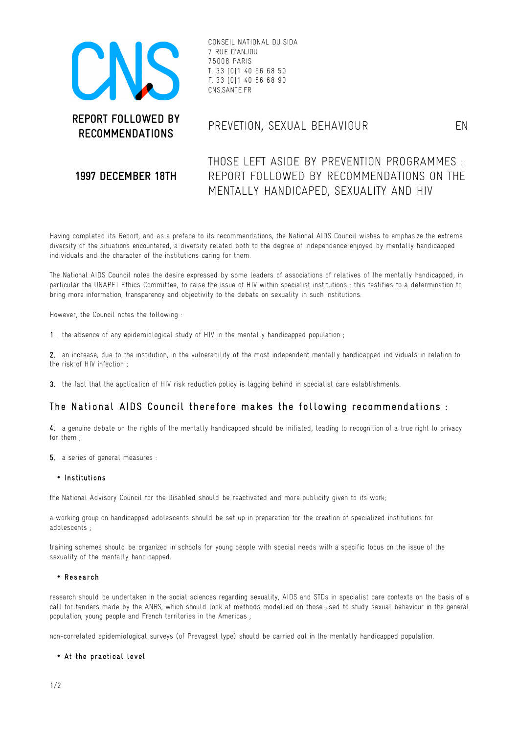

CONSEIL NATIONAL DU SIDA 7 RUE D'ANJOU 75008 PARIS T. 33 [0]1 40 56 68 50 F. 33 [0]1 40 56 68 90 CNS.SANTE.FR

# **RECOMMENDATIONS** PREVETION, SEXUAL BEHAVIOUR EN

## **1997 DECEMBER 18TH**

THOSE LEFT ASIDE BY PREVENTION PROGRAMMES : REPORT FOLLOWED BY RECOMMENDATIONS ON THE MENTALLY HANDICAPED, SEXUALITY AND HIV

Having completed its Report, and as a preface to its recommendations, the National AIDS Council wishes to emphasize the extreme diversity of the situations encountered, a diversity related both to the degree of independence enjoyed by mentally handicapped individuals and the character of the institutions caring for them.

The National AIDS Council notes the desire expressed by some leaders of associations of relatives of the mentally handicapped, in particular the UNAPEI Ethics Committee, to raise the issue of HIV within specialist institutions : this testifies to a determination to bring more information, transparency and objectivity to the debate on sexuality in such institutions.

However, the Council notes the following :

1. the absence of any epidemiological study of HIV in the mentally handicapped population;

2. an increase, due to the institution, in the vulnerability of the most independent mentally handicapped individuals in relation to the risk of HIV infection ;

3. the fact that the application of HIV risk reduction policy is lagging behind in specialist care establishments.

## The National AIDS Council therefore makes the following recommendations :

4. a genuine debate on the rights of the mentally handicapped should be initiated, leading to recognition of a true right to privacy for them ;

5. a series of general measures :

#### • Institutions

the National Advisory Council for the Disabled should be reactivated and more publicity given to its work;

a working group on handicapped adolescents should be set up in preparation for the creation of specialized institutions for adolescents ;

training schemes should be organized in schools for young people with special needs with a specific focus on the issue of the sexuality of the mentally handicapped.

#### • Research

research should be undertaken in the social sciences regarding sexuality, AIDS and STDs in specialist care contexts on the basis of a call for tenders made by the ANRS, which should look at methods modelled on those used to study sexual behaviour in the general population, young people and French territories in the Americas ;

non-correlated epidemiological surveys (of Prevagest type) should be carried out in the mentally handicapped population.

### • At the practical level